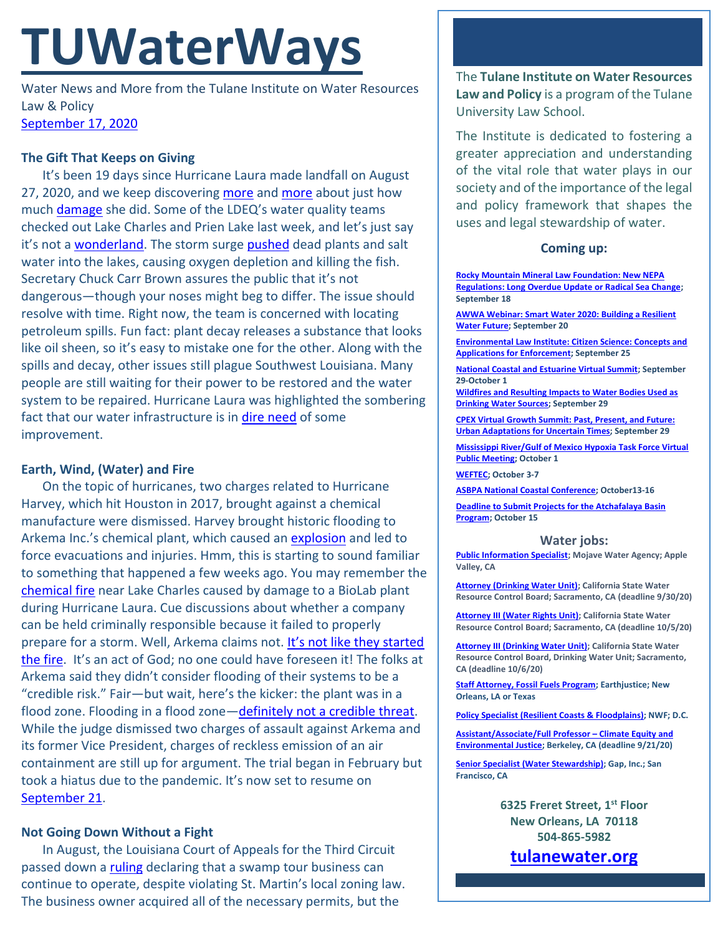# **TUWaterWays**

Water News and More from the Tulane Institute on Water Resources Law & Policy [September 17, 2020](https://thisdayinwaterhistory.wordpress.com/)

# **The Gift That Keeps on Giving**

It's been 19 days since Hurricane Laura made landfall on August 27, 2020, and we keep discovering [more](https://www.circleofblue.org/2020/world/a-lot-of-catastrophe-louisiana-water-systems-still-reeling-from-hurricane-laura/?mc_cid=872a0c4546&mc_eid=a3de4de0ae) and [more](https://www.theadvocate.com/baton_rouge/news/business/article_5bc7a36c-f761-11ea-bb4e-a36efdce7ce1.html) about just how much [damage](https://oceanservice.noaa.gov/news/aug20/ngs-storm-imagery-laura.html) she did. Some of the LDEQ's water quality teams checked out Lake Charles and Prien Lake last week, and let's just say it's not a [wonderland.](https://www.youtube.com/watch?v=god7hAPv8f0) The storm surge [pushed](https://apnews.com/27ff473cbf2ac074d5c40e606b0301b0#:~:text=(AP)%20%E2%80%94%20Decaying%20plants%20pushed,the%20stench%2C%20state%20officials%20say.&text=27%20pushed%20in%20both%20dead,decay%2C%20oxygen%20levels%20go%20down.) dead plants and salt water into the lakes, causing oxygen depletion and killing the fish. Secretary Chuck Carr Brown assures the public that it's not dangerous—though your noses might beg to differ. The issue should resolve with time. Right now, the team is concerned with locating petroleum spills. Fun fact: plant decay releases a substance that looks like oil sheen, so it's easy to mistake one for the other. Along with the spills and decay, other issues still plague Southwest Louisiana. Many people are still waiting for their power to be restored and the water system to be repaired. Hurricane Laura was highlighted the sombering fact that our water infrastructure is in [dire need](https://www.usnews.com/news/best-states/louisiana/articles/2020-09-13/analysis-laura-reminds-of-louisianas-fragile-water-systems) of some improvement.

# **Earth, Wind, (Water) and Fire**

On the topic of hurricanes, two charges related to Hurricane Harvey, which hit Houston in 2017, brought against a chemical manufacture were dismissed. Harvey brought historic flooding to Arkema Inc.'s chemical plant, which caused an [explosion](https://www.csb.gov/arkema-inc-chemical-plant-fire-/) and led to force evacuations and injuries. Hmm, this is starting to sound familiar to something that happened a few weeks ago. You may remember the [chemical fire](https://www.nola.com/news/environment/article_6227ac8a-ebbc-11ea-92f2-67f719ac6c7c.html) near Lake Charles caused by damage to a BioLab plant during Hurricane Laura. Cue discussions about whether a company can be held criminally responsible because it failed to properly prepare for a storm. Well, Arkema claims not. [It's not like they started](https://www.youtube.com/watch?v=eFTLKWw542g)  [the fire.](https://www.youtube.com/watch?v=eFTLKWw542g) It's an act of God; no one could have foreseen it! The folks at Arkema said they didn't consider flooding of their systems to be a "credible risk." Fair—but wait, here's the kicker: the plant was in a flood zone. Flooding in a flood zone—[definitely not a credible threat.](https://static01.nyt.com/images/2016/08/05/us/05onfire1_xp/05onfire1_xp-jumbo-v2.jpg?quality=90&auto=webp) While the judge dismissed two charges of assault against Arkema and its former Vice President, charges of reckless emission of an air containment are still up for argument. The trial began in February but took a hiatus due to the pandemic. It's now set to resume on [September 21.](https://www.youtube.com/watch?v=Gs069dndIYk)

# **Not Going Down Without a Fight**

In August, the Louisiana Court of Appeals for the Third Circuit passed down a [ruling](https://cases.justia.com/louisiana/third-circuit-court-of-appeal/2020-ca-0019-0499.pdf?ts=1597849925) declaring that a swamp tour business can continue to operate, despite violating St. Martin's local zoning law. The business owner acquired all of the necessary permits, but the

The **Tulane Institute on Water Resources Law and Policy** is a program of the Tulane University Law School.

The Institute is dedicated to fostering a greater appreciation and understanding of the vital role that water plays in our society and of the importance of the legal and policy framework that shapes the uses and legal stewardship of water.

## **Coming up:**

**[Rocky Mountain Mineral Law Foundation: New NEPA](https://www.rmmlf.org/programs/web7-20/overview)  [Regulations: Long Overdue Update or Radical Sea Change;](https://www.rmmlf.org/programs/web7-20/overview)  September 18**

**[AWWA Webinar: Smart Water 2020: Building a Resilient](https://www.awwa.org/Events/AWWA-Events-Calendar/Meeting-Details?productId=814212%2088)  [Water Future;](https://www.awwa.org/Events/AWWA-Events-Calendar/Meeting-Details?productId=814212%2088) September 20**

**[Environmental Law Institute: Citizen Science: Concepts and](https://www.eli.org/events/citizen-science-concepts-and-applications-enforcement)  [Applications for Enforcement;](https://www.eli.org/events/citizen-science-concepts-and-applications-enforcement) September 25**

**[National Coastal and Estuarine Virtual Summit;](https://ww2.eventrebels.com/er/Registration/StepRegInfo.jsp?ActivityID=32973&StepNumber=1&PromotionCode=REG&v=ZTFmMTI1N2QtZjE3OS00YzU4LTg2MDAtYTk4MWFjOTBiNDg3) September 29-October 1**

**[Wildfires and Resulting Impacts to Water Bodies Used as](https://register.gotowebinar.com/register/2152789201095229455)  [Drinking Water Sources;](https://register.gotowebinar.com/register/2152789201095229455) September 29**

**[CPEX Virtual Growth Summit: Past, Present, and Future:](https://virtual-smart-growth-summit-2020.heysummit.com/summit-at-a-glance/)  [Urban Adaptations for Uncertain Times;](https://virtual-smart-growth-summit-2020.heysummit.com/summit-at-a-glance/) September 29**

**[Mississippi River/Gulf of Mexico Hypoxia Task Force Virtual](https://water-meetings.tetratech.com/Hypoxia/StaticPublic/)  [Public Meeting;](https://water-meetings.tetratech.com/Hypoxia/StaticPublic/) October 1**

**[WEFTEC;](https://www.weftec.org/weftec-2020-coronavirus-update/) October 3-7**

**[ASBPA National Coastal Conference;](https://asbpa.org/conferences/) October13-16**

**[Deadline to Submit Projects for the Atchafalaya Basin](https://coastal.la.gov/atchafalaya-basin-program/)  [Program;](https://coastal.la.gov/atchafalaya-basin-program/) October 15**

#### **Water jobs:**

**[Public Information Specialist;](https://bcwaterjobs.secure.force.com/ViewJob?id=a0C0e00000QT5xVEAT&trk_msg=EBUUV0BNMQ4410R931GVTKES8O&trk_contact=ELSBC2QQ8P52OBICIC1741BEK4&trk_sid=9I414F3USSLPTUPMTCTF7LEMU8&utm_source=listrak&utm_medium=email&utm_term=https%3a%2f%2fbcwaterjobs.secure.force.com%2fViewJob%3fid%3da0C0e00000QT5xVEAT&utm_campaign=National+Daily&utm_content=National+Daily) Mojave Water Agency; Apple Valley, CA**

**[Attorney \(Drinking Water Unit\);](https://jobs.ca.gov/CalHrPublic/Jobs/JobPosting.aspx?JobControlId=215317) California State Water Resource Control Board; Sacramento, CA (deadline 9/30/20)**

**[Attorney III \(Water Rights Unit\);](https://jobs.ca.gov/CalHrPublic/Jobs/JobPosting.aspx?JobControlId=216024) California State Water Resource Control Board; Sacramento, CA (deadline 10/5/20)**

**[Attorney III \(Drinking Water Unit\);](https://jobs.ca.gov/CalHrPublic/Jobs/JobPosting.aspx?JobControlId=216353) California State Water Resource Control Board, Drinking Water Unit; Sacramento, CA (deadline 10/6/20)**

**[Staff Attorney, Fossil Fuels Program;](https://jobs.jobvite.com/earthjustice/job/ogmUcfws?nl=1) Earthjustice; New Orleans, LA or Texas**

**[Policy Specialist \(Resilient Coasts &](https://recruiting.ultipro.com/NAT1047NWF/JobBoard/1ca8346a-33cc-401d-90d9-d7f752fdfd7d/OpportunityDetail?opportunityId=0b0963b4-14c4-44be-9f24-59b9e6b20714&sourceId=993f40fc-778b-4ea4-965d-1b16a1d5a1c8) Floodplains); NWF; D.C.**

**[Assistant/Associate/Full Professor](https://aprecruit.berkeley.edu/JPF02634) – Climate Equity and [Environmental Justice;](https://aprecruit.berkeley.edu/JPF02634) Berkeley, CA (deadline 9/21/20)**

**[Senior Specialist \(Water Stewardship\);](https://www.gapinc.com/en-us/jobs/33/88/senior-specialist-water-stewardship) Gap, Inc.; San Francisco, CA** 

> **6325 Freret Street, 1st Floor New Orleans, LA 70118 504-865-5982**

**[tulanewater.org](file:///C:/Users/waterlaw/Downloads/tulanewater.org)**